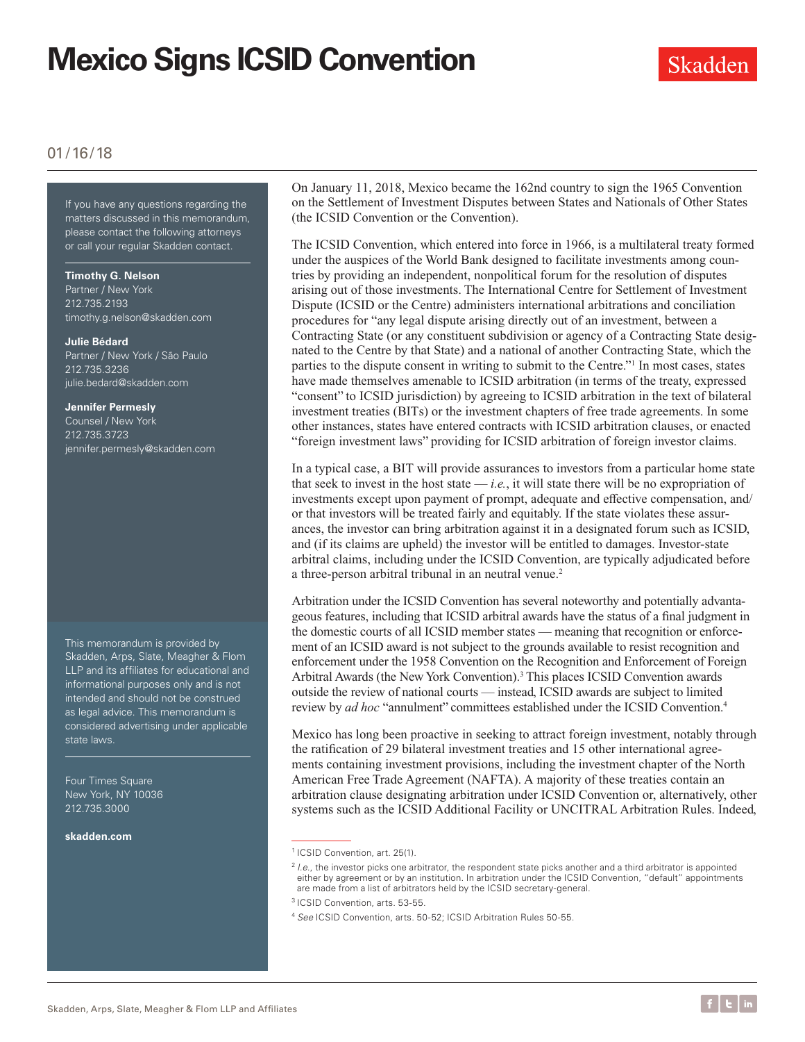# **Mexico Signs ICSID Convention**



### 01/16/18

If you have any questions regarding the matters discussed in this memorandum, please contact the following attorneys or call your regular Skadden contact.

#### **Timothy G. Nelson**

Partner / New York 212.735.2193 timothy.g.nelson@skadden.com

#### **Julie Bédard**

Partner / New York / São Paulo 212.735.3236 julie.bedard@skadden.com

#### **Jennifer Permesly**

Counsel / New York 212.735.3723 jennifer.permesly@skadden.com

This memorandum is provided by Skadden, Arps, Slate, Meagher & Flom LLP and its affiliates for educational and informational purposes only and is not intended and should not be construed as legal advice. This memorandum is considered advertising under applicable state laws.

Four Times Square New York, NY 10036 212.735.3000

**[skadden.com](http://www.skadden.com)**

On January 11, 2018, Mexico became the 162nd country to sign the 1965 Convention on the Settlement of Investment Disputes between States and Nationals of Other States (the ICSID Convention or the Convention).

The ICSID Convention, which entered into force in 1966, is a multilateral treaty formed under the auspices of the World Bank designed to facilitate investments among countries by providing an independent, nonpolitical forum for the resolution of disputes arising out of those investments. The International Centre for Settlement of Investment Dispute (ICSID or the Centre) administers international arbitrations and conciliation procedures for "any legal dispute arising directly out of an investment, between a Contracting State (or any constituent subdivision or agency of a Contracting State designated to the Centre by that State) and a national of another Contracting State, which the parties to the dispute consent in writing to submit to the Centre."1 In most cases, states have made themselves amenable to ICSID arbitration (in terms of the treaty, expressed "consent" to ICSID jurisdiction) by agreeing to ICSID arbitration in the text of bilateral investment treaties (BITs) or the investment chapters of free trade agreements. In some other instances, states have entered contracts with ICSID arbitration clauses, or enacted "foreign investment laws" providing for ICSID arbitration of foreign investor claims.

In a typical case, a BIT will provide assurances to investors from a particular home state that seek to invest in the host state  $-i.e.,$  it will state there will be no expropriation of investments except upon payment of prompt, adequate and effective compensation, and/ or that investors will be treated fairly and equitably. If the state violates these assurances, the investor can bring arbitration against it in a designated forum such as ICSID, and (if its claims are upheld) the investor will be entitled to damages. Investor-state arbitral claims, including under the ICSID Convention, are typically adjudicated before a three-person arbitral tribunal in an neutral venue.<sup>2</sup>

Arbitration under the ICSID Convention has several noteworthy and potentially advantageous features, including that ICSID arbitral awards have the status of a final judgment in the domestic courts of all ICSID member states — meaning that recognition or enforcement of an ICSID award is not subject to the grounds available to resist recognition and enforcement under the 1958 Convention on the Recognition and Enforcement of Foreign Arbitral Awards (the New York Convention).3 This places ICSID Convention awards outside the review of national courts — instead, ICSID awards are subject to limited review by *ad hoc* "annulment" committees established under the ICSID Convention.4

Mexico has long been proactive in seeking to attract foreign investment, notably through the ratification of 29 bilateral investment treaties and 15 other international agreements containing investment provisions, including the investment chapter of the North American Free Trade Agreement (NAFTA). A majority of these treaties contain an arbitration clause designating arbitration under ICSID Convention or, alternatively, other systems such as the ICSID Additional Facility or UNCITRAL Arbitration Rules. Indeed,

<sup>&</sup>lt;sup>1</sup> ICSID Convention, art. 25(1).

<sup>&</sup>lt;sup>2</sup> *I.e.*, the investor picks one arbitrator, the respondent state picks another and a third arbitrator is appointed either by agreement or by an institution. In arbitration under the ICSID Convention, "default" appointments are made from a list of arbitrators held by the ICSID secretary-general.

<sup>3</sup> ICSID Convention, arts. 53-55.

<sup>4</sup> *See* ICSID Convention, arts. 50-52; ICSID Arbitration Rules 50-55.